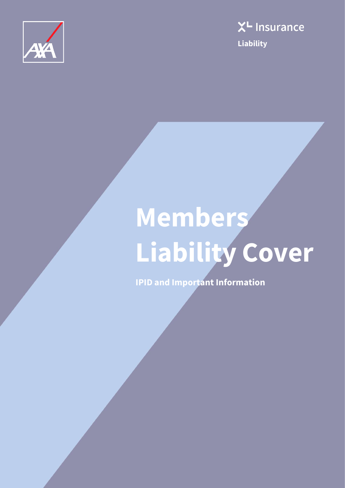



# **Members Liability Cover**

**IPID and Important Information**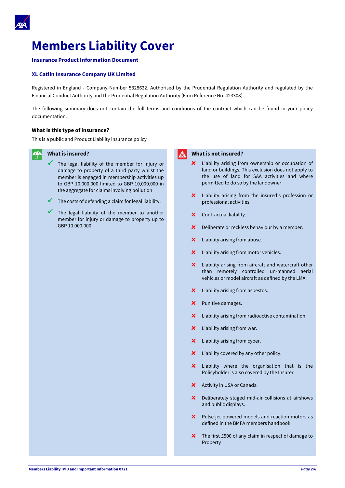

## **Members Liability Cover**

#### **Insurance Product Information Document**

#### **XL Catlin Insurance Company UK Limited**

Registered in England - Company Number 5328622. Authorised by the Prudential Regulation Authority and regulated by the Financial Conduct Authority and the Prudential Regulation Authority (Firm Reference No. 423308).

The following summary does not contain the full terms and conditions of the contract which can be found in your policy documentation.

#### **What is this type of insurance?**

This is a public and Product Liability insurance policy

#### $\stackrel{\prime\prime}{\rightarrow}$ **What is insured?**

- The legal liability of the member for injury or damage to property of a third party whilst the member is engaged in membership activities up to GBP 10,000,000 limited to GBP 10,000,000 in the aggregate for claims involving pollution
- The costs of defending a claim for legal liability.
- $\checkmark$  The legal liability of the member to another member for injury or damage to property up to GBP 10,000,000



- **x** Liability arising from ownership or occupation of land or buildings. This exclusion does not apply to the use of land for SAA activities and where permitted to do so by the landowner.
- **x** Liability arising from the insured's profession or professional activities
- **x** Contractual liability.
- **x** Deliberate or reckless behaviour by a member.
- **x** Liability arising from abuse.
- **x** Liability arising from motor vehicles.
- **x** Liability arising from aircraft and watercraft other than remotely controlled un-manned aerial vehicles or model aircraft as defined by the LMA.
- **x** Liability arising from asbestos.
- **x** Punitive damages.
- **x** Liability arising from radioactive contamination.
- **x** Liability arising from war.
- **x** Liability arising from cyber.
- **x** Liability covered by any other policy.
- **x** Liability where the organisation that is the Policyholder is also covered by the Insurer.
- **x** Activity in USA or Canada
- **x** Deliberately staged mid-air collisions at airshows and public displays.
- **x** Pulse jet powered models and reaction motors as defined in the BMFA members handbook.
- **x** The first £500 of any claim in respect of damage to Property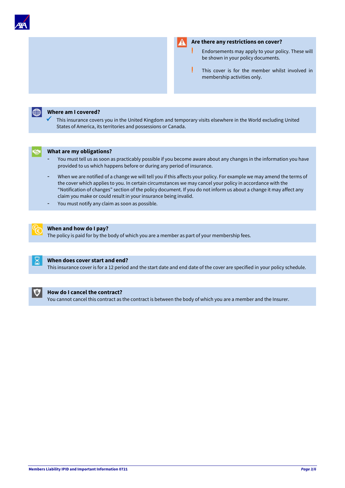



#### **Are there any restrictions on cover?**

- **!** Endorsements may apply to your policy. These will be shown in your policy documents.
- **!** This cover is for the member whilst involved in membership activities only.



#### **Where am I covered?**

This insurance covers you in the United Kingdom and temporary visits elsewhere in the World excluding United States of America, its territories and possessions or Canada.



#### **What are my obligations?**

- You must tell us as soon as practicably possible if you become aware about any changes in the information you have provided to us which happens before or during any period of insurance.
- When we are notified of a change we will tell you if this affects your policy. For example we may amend the terms of the cover which applies to you. In certain circumstances we may cancel your policy in accordance with the "Notification of changes" section of the policy document. If you do not inform us about a change it may affect any claim you make or could result in your insurance being invalid.
- You must notify any claim as soon as possible.



#### **When and how do I pay?**

The policy is paid for by the body of which you are a member as part of your membership fees.



#### **When does cover start and end?**

This insurance cover is for a 12 period and the start date and end date of the cover are specified in your policy schedule.



#### **How do I cancel the contract?**

You cannot cancel this contract as the contract is between the body of which you are a member and the Insurer.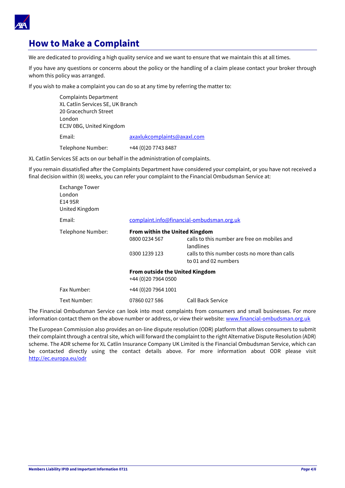

## **How to Make a Complaint**

We are dedicated to providing a high quality service and we want to ensure that we maintain this at all times.

If you have any questions or concerns about the policy or the handling of a claim please contact your broker through whom this policy was arranged.

If you wish to make a complaint you can do so at any time by referring the matter to:

Complaints Department XL Catlin Services SE, UK Branch 20 Gracechurch Street London EC3V 0BG, United Kingdom Email: [axaxlukcomplaints@axaxl.com](mailto:axaxlukcomplaints@axaxl.com) Telephone Number: +44 (0)20 7743 8487

XL Catlin Services SE acts on our behalf in the administration of complaints.

If you remain dissatisfied after the Complaints Department have considered your complaint, or you have not received a final decision within (8) weeks, you can refer your complaint to the Financial Ombudsman Service at:

| <b>Exchange Tower</b><br>London<br>E14 9SR<br>United Kingdom |                                                                |                                                                       |
|--------------------------------------------------------------|----------------------------------------------------------------|-----------------------------------------------------------------------|
| Email:                                                       |                                                                | complaint.info@financial-ombudsman.org.uk                             |
| Telephone Number:                                            | <b>From within the United Kingdom</b>                          |                                                                       |
|                                                              | 0800 0234 567                                                  | calls to this number are free on mobiles and<br>landlines             |
|                                                              | 0300 1239 123                                                  | calls to this number costs no more than calls<br>to 01 and 02 numbers |
|                                                              | <b>From outside the United Kingdom</b><br>+44 (0) 20 7964 0500 |                                                                       |
| Fax Number:                                                  | +44 (0) 20 7964 1001                                           |                                                                       |
| Text Number:                                                 | 07860 027 586                                                  | Call Back Service                                                     |

The Financial Ombudsman Service can look into most complaints from consumers and small businesses. For more information contact them on the above number or address, or view their website: [www.financial-ombudsman.org.uk](http://www.financial-ombudsman.org.uk/)

The European Commission also provides an on-line dispute resolution (ODR) platform that allows consumers to submit their complaint through a central site, which will forward the complaint to the right Alternative Dispute Resolution (ADR) scheme. The ADR scheme for XL Catlin Insurance Company UK Limited is the Financial Ombudsman Service, which can be contacted directly using the contact details above. For more information about ODR please visit <http://ec.europa.eu/odr>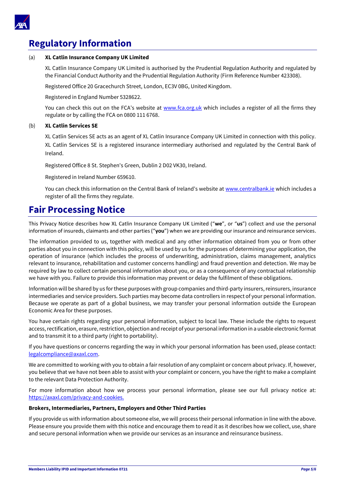

## **Regulatory Information**

#### (a) **XL Catlin Insurance Company UK Limited**

XL Catlin Insurance Company UK Limited is authorised by the Prudential Regulation Authority and regulated by the Financial Conduct Authority and the Prudential Regulation Authority (Firm Reference Number 423308).

Registered Office 20 Gracechurch Street, London, EC3V 0BG, United Kingdom.

Registered in England Number 5328622.

You can check this out on the FCA's website at [www.fca.org.uk](http://www.fca.org.uk/) which includes a register of all the firms they regulate or by calling the FCA on 0800 111 6768.

#### (b) **XL Catlin Services SE**

XL Catlin Services SE acts as an agent of XL Catlin Insurance Company UK Limited in connection with this policy. XL Catlin Services SE is a registered insurance intermediary authorised and regulated by the Central Bank of Ireland.

Registered Office 8 St. Stephen's Green, Dublin 2 D02 VK30, Ireland.

Registered in Ireland Number 659610.

You can check this information on the Central Bank of Ireland's website at [www.centralbank.ie](http://www.centralbank.ie/) which includes a register of all the firms they regulate.

## **Fair Processing Notice**

This Privacy Notice describes how XL Catlin Insurance Company UK Limited ("**we**", or "**us**") collect and use the personal information of insureds, claimants and other parties ("**you**") when we are providing our insurance and reinsurance services.

The information provided to us, together with medical and any other information obtained from you or from other parties about you in connection with this policy, will be used by us for the purposes of determining your application, the operation of insurance (which includes the process of underwriting, administration, claims management, analytics relevant to insurance, rehabilitation and customer concerns handling) and fraud prevention and detection. We may be required by law to collect certain personal information about you, or as a consequence of any contractual relationship we have with you. Failure to provide this information may prevent or delay the fulfilment of these obligations.

Information will be shared by us for these purposes with group companies and third-party insurers, reinsurers, insurance intermediaries and service providers. Such parties may become data controllers in respect of your personal information. Because we operate as part of a global business, we may transfer your personal information outside the European Economic Area for these purposes.

You have certain rights regarding your personal information, subject to local law. These include the rights to request access, rectification, erasure, restriction, objection and receipt of your personal information in a usable electronic format and to transmit it to a third party (right to portability).

If you have questions or concerns regarding the way in which your personal information has been used, please contact: [legalcompliance@axaxl.com.](mailto:legalcompliance@axaxl.com)

We are committed to working with you to obtain a fair resolution of any complaint or concern about privacy. If, however, you believe that we have not been able to assist with your complaint or concern, you have the right to make a complaint to the relevant Data Protection Authority.

For more information about how we process your personal information, please see our full privacy notice at: [https://axaxl.com/privacy-and-cookies.](https://axaxl.com/privacy-and-cookies)

#### **Brokers, Intermediaries, Partners, Employers and Other Third Parties**

If you provide us with information about someone else, we will process their personal information in line with the above. Please ensure you provide them with this notice and encourage them to read it as it describes how we collect, use, share and secure personal information when we provide our services as an insurance and reinsurance business.